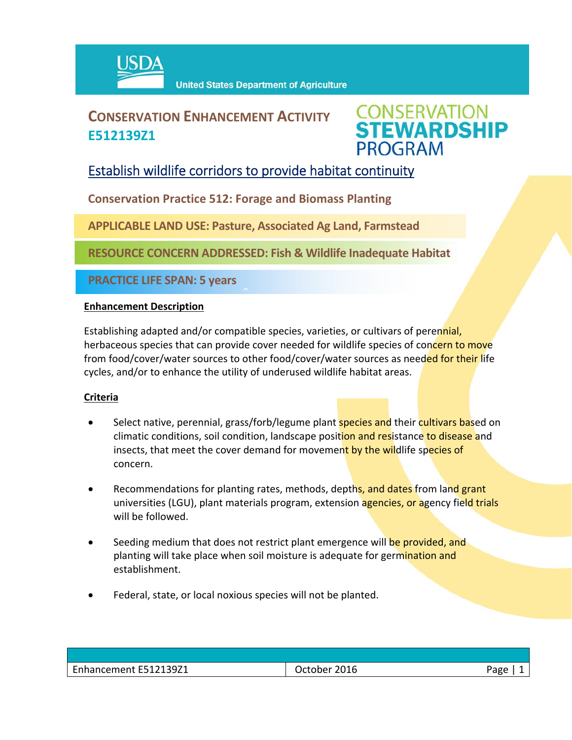

# **CONSERVATION ENHANCEMENT ACTIVITY E512139Z1**



## Establish wildlife corridors to provide habitat continuity

**Conservation Practice 512: Forage and Biomass Planting**

**APPLICABLE LAND USE: Pasture, Associated Ag Land, Farmstead**

 $\hat{a}$ 

**RESOURCE CONCERN ADDRESSED: Fish & Wildlife Inadequate Habitat** 

**PRACTICE LIFE SPAN: 5 years**

#### **Enhancement Description**

Establishing adapted and/or compatible species, varieties, or cultivars of perennial, herbaceous species that can provide cover needed for wildlife species of concern to move from food/cover/water sources to other food/cover/water sources as needed for their life cycles, and/or to enhance the utility of underused wildlife habitat areas.

### **Criteria**

- Select native, perennial, grass/forb/legume plant **species and** their cultivars based on climatic conditions, soil condition, landscape position and resistance to disease and insects, that meet the cover demand for movement by the wildlife species of concern.
- **•** Recommendations for planting rates, methods, depths, and dates from land grant universities (LGU), plant materials program, extension agencies, or agency field trials will be followed.
- Seeding medium that does not restrict plant emergence will be provided, and planting will take place when soil moisture is adequate for germination and establishment.
- Federal, state, or local noxious species will not be planted.

| <b>EE1010071</b><br>$\overline{\phantom{0}}$<br>$\sim$ u $\prime$<br>iancement.<br>ᇅᇰᇰᆮᆂ | 2016<br>.<br>___ | Page |
|------------------------------------------------------------------------------------------|------------------|------|